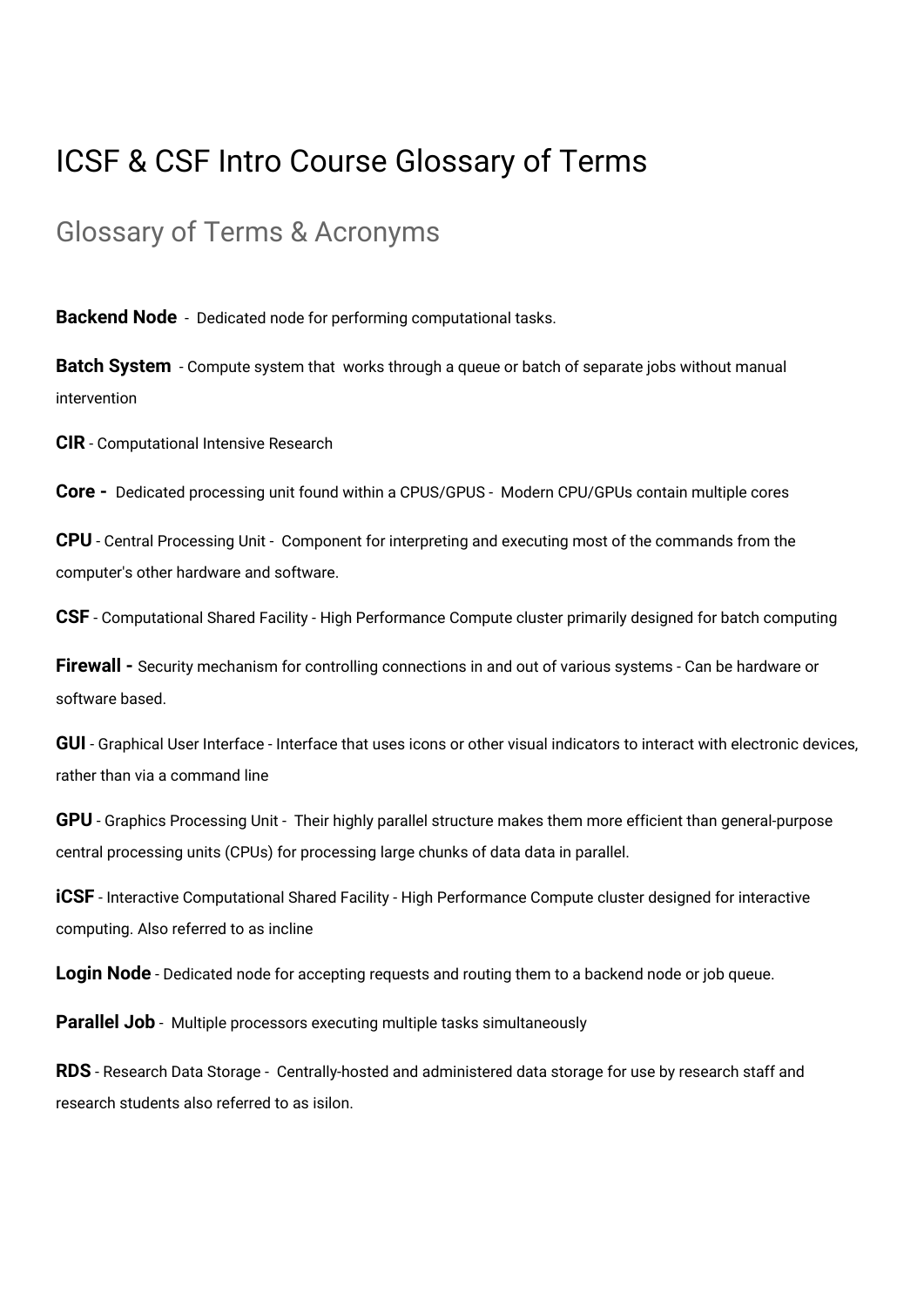## ICSF & CSF Intro Course Glossary of Terms

## Glossary of Terms & Acronyms

**Backend Node** - Dedicated node for performing computational tasks.

**Batch System** - Compute system that works through a queue or batch of separate jobs without manual intervention

**CIR** - Computational Intensive Research

**Core -**  Dedicated processing unit found within a CPUS/GPUS - Modern CPU/GPUs contain multiple cores

**CPU** - Central Processing Unit - Component for interpreting and executing most of the commands from the computer's other hardware and software.

**CSF** - Computational Shared Facility - High Performance Compute cluster primarily designed for batch computing

**Firewall -** Security mechanism for controlling connections in and out of various systems - Can be hardware or software based.

**GUI** - Graphical User Interface - Interface that uses icons or other visual indicators to interact with electronic devices, rather than via a command line

**GPU** - Graphics Processing Unit - Their highly parallel structure makes them more efficient than general-purpose central processing units (CPUs) for processing large chunks of data data in parallel.

**iCSF** - Interactive Computational Shared Facility - High Performance Compute cluster designed for interactive computing. Also referred to as incline

**Login Node** - Dedicated node for accepting requests and routing them to a backend node or job queue.

**Parallel Job** - Multiple processors executing multiple tasks simultaneously

**RDS** - Research Data Storage - Centrally-hosted and administered data storage for use by research staff and research students also referred to as isilon.